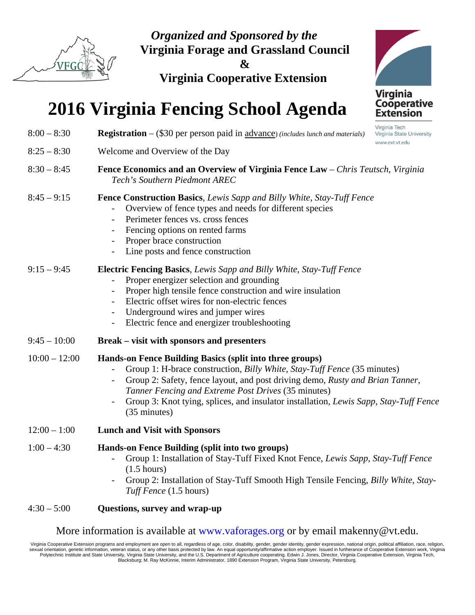

*Organized and Sponsored by the*  **Virginia Forage and Grassland Council** 

**&** 

**Virginia Cooperative Extension** 

# **2016 Virginia Fencing School Agenda**

| Virginia Tech<br><b>Registration</b> $-$ (\$30 per person paid in $\frac{advance}{include}$ (includes lunch and materials)<br>Virginia State University<br>www.ext.vt.edu                                                                                                                                                                                                                                                |  |  |  |
|--------------------------------------------------------------------------------------------------------------------------------------------------------------------------------------------------------------------------------------------------------------------------------------------------------------------------------------------------------------------------------------------------------------------------|--|--|--|
| Welcome and Overview of the Day                                                                                                                                                                                                                                                                                                                                                                                          |  |  |  |
| Fence Economics and an Overview of Virginia Fence Law - Chris Teutsch, Virginia<br>Tech's Southern Piedmont AREC                                                                                                                                                                                                                                                                                                         |  |  |  |
| Fence Construction Basics, Lewis Sapp and Billy White, Stay-Tuff Fence<br>Overview of fence types and needs for different species<br>Perimeter fences vs. cross fences<br>$\overline{\phantom{a}}$<br>Fencing options on rented farms<br>Proper brace construction<br>$\overline{\phantom{a}}$<br>Line posts and fence construction                                                                                      |  |  |  |
| <b>Electric Fencing Basics, Lewis Sapp and Billy White, Stay-Tuff Fence</b><br>Proper energizer selection and grounding<br>Proper high tensile fence construction and wire insulation<br>Electric offset wires for non-electric fences<br>Underground wires and jumper wires<br>$\overline{\phantom{a}}$<br>Electric fence and energizer troubleshooting                                                                 |  |  |  |
| <b>Break – visit with sponsors and presenters</b>                                                                                                                                                                                                                                                                                                                                                                        |  |  |  |
| Hands-on Fence Building Basics (split into three groups)<br>Group 1: H-brace construction, <i>Billy White, Stay-Tuff Fence</i> (35 minutes)<br>Group 2: Safety, fence layout, and post driving demo, Rusty and Brian Tanner,<br>$\overline{\phantom{a}}$<br>Tanner Fencing and Extreme Post Drives (35 minutes)<br>Group 3: Knot tying, splices, and insulator installation, Lewis Sapp, Stay-Tuff Fence<br>(35 minutes) |  |  |  |
| <b>Lunch and Visit with Sponsors</b>                                                                                                                                                                                                                                                                                                                                                                                     |  |  |  |
| Hands-on Fence Building (split into two groups)<br>Group 1: Installation of Stay-Tuff Fixed Knot Fence, Lewis Sapp, Stay-Tuff Fence<br>$(1.5 \text{ hours})$<br>Group 2: Installation of Stay-Tuff Smooth High Tensile Fencing, Billy White, Stay-<br>Tuff Fence (1.5 hours)                                                                                                                                             |  |  |  |
|                                                                                                                                                                                                                                                                                                                                                                                                                          |  |  |  |

### 4:30 – 5:00 **Questions, survey and wrap-up**

More information is available at www.vaforages.org or by email makenny@vt.edu.

Virginia Cooperative Extension programs and employment are open to all, regardless of age, color, disability, gender, gender identity, gender expression, national origin, political affiliation, race, religion,<br>sexual orien Polytechnic Institute and State University, Virginia State University, and the U.S. Department of Agriculture cooperating. Edwin J. Jones, Director, Virginia Cooperative Extension, Virginia Tech,<br>Blacksburg; M. Ray McKinni